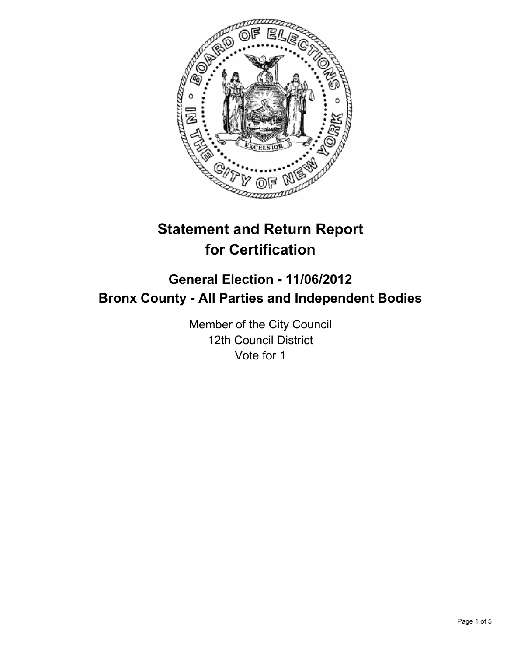

# **Statement and Return Report for Certification**

# **General Election - 11/06/2012 Bronx County - All Parties and Independent Bodies**

Member of the City Council 12th Council District Vote for 1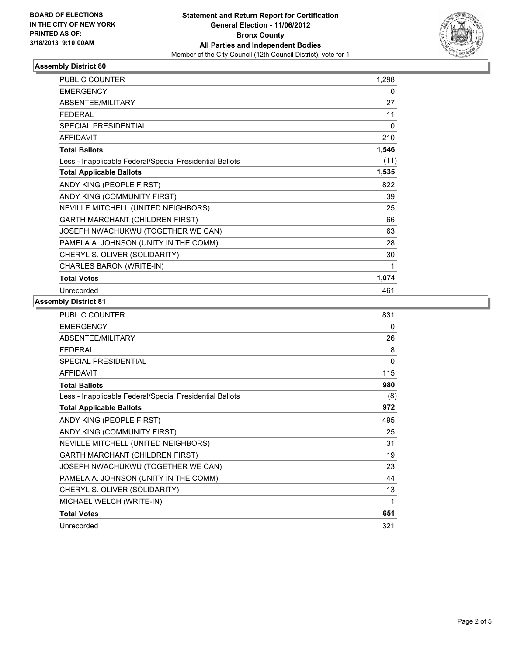

## **Assembly District 80**

| PUBLIC COUNTER                                           | 1,298 |
|----------------------------------------------------------|-------|
| <b>EMERGENCY</b>                                         | 0     |
| <b>ABSENTEE/MILITARY</b>                                 | 27    |
| <b>FEDERAL</b>                                           | 11    |
| <b>SPECIAL PRESIDENTIAL</b>                              | 0     |
| <b>AFFIDAVIT</b>                                         | 210   |
| <b>Total Ballots</b>                                     | 1,546 |
| Less - Inapplicable Federal/Special Presidential Ballots | (11)  |
| <b>Total Applicable Ballots</b>                          | 1,535 |
| ANDY KING (PEOPLE FIRST)                                 | 822   |
| ANDY KING (COMMUNITY FIRST)                              | 39    |
| NEVILLE MITCHELL (UNITED NEIGHBORS)                      | 25    |
| <b>GARTH MARCHANT (CHILDREN FIRST)</b>                   | 66    |
| JOSEPH NWACHUKWU (TOGETHER WE CAN)                       | 63    |
| PAMELA A. JOHNSON (UNITY IN THE COMM)                    | 28    |
| CHERYL S. OLIVER (SOLIDARITY)                            | 30    |
| CHARLES BARON (WRITE-IN)                                 | 1     |
| <b>Total Votes</b>                                       | 1,074 |
| Unrecorded                                               | 461   |

#### **Assembly District 81**

| <b>PUBLIC COUNTER</b>                                    | 831          |
|----------------------------------------------------------|--------------|
| <b>EMERGENCY</b>                                         | 0            |
| ABSENTEE/MILITARY                                        | 26           |
| <b>FEDERAL</b>                                           | 8            |
| <b>SPECIAL PRESIDENTIAL</b>                              | $\mathbf{0}$ |
| <b>AFFIDAVIT</b>                                         | 115          |
| <b>Total Ballots</b>                                     | 980          |
| Less - Inapplicable Federal/Special Presidential Ballots | (8)          |
| <b>Total Applicable Ballots</b>                          | 972          |
| ANDY KING (PEOPLE FIRST)                                 | 495          |
| ANDY KING (COMMUNITY FIRST)                              | 25           |
| NEVILLE MITCHELL (UNITED NEIGHBORS)                      | 31           |
| <b>GARTH MARCHANT (CHILDREN FIRST)</b>                   | 19           |
| JOSEPH NWACHUKWU (TOGETHER WE CAN)                       | 23           |
| PAMELA A. JOHNSON (UNITY IN THE COMM)                    | 44           |
| CHERYL S. OLIVER (SOLIDARITY)                            | 13           |
| MICHAEL WELCH (WRITE-IN)                                 | 1            |
| <b>Total Votes</b>                                       | 651          |
| Unrecorded                                               | 321          |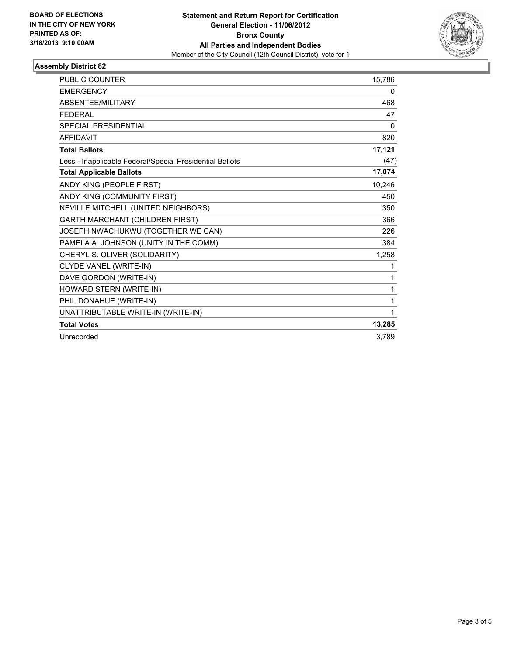

#### **Assembly District 82**

| <b>PUBLIC COUNTER</b>                                    | 15,786 |
|----------------------------------------------------------|--------|
| <b>EMERGENCY</b>                                         | 0      |
| ABSENTEE/MILITARY                                        | 468    |
| <b>FEDERAL</b>                                           | 47     |
| <b>SPECIAL PRESIDENTIAL</b>                              | 0      |
| <b>AFFIDAVIT</b>                                         | 820    |
| <b>Total Ballots</b>                                     | 17,121 |
| Less - Inapplicable Federal/Special Presidential Ballots | (47)   |
| <b>Total Applicable Ballots</b>                          | 17,074 |
| ANDY KING (PEOPLE FIRST)                                 | 10,246 |
| ANDY KING (COMMUNITY FIRST)                              | 450    |
| NEVILLE MITCHELL (UNITED NEIGHBORS)                      | 350    |
| <b>GARTH MARCHANT (CHILDREN FIRST)</b>                   | 366    |
| JOSEPH NWACHUKWU (TOGETHER WE CAN)                       | 226    |
| PAMELA A. JOHNSON (UNITY IN THE COMM)                    | 384    |
| CHERYL S. OLIVER (SOLIDARITY)                            | 1,258  |
| CLYDE VANEL (WRITE-IN)                                   | 1      |
| DAVE GORDON (WRITE-IN)                                   | 1      |
| HOWARD STERN (WRITE-IN)                                  | 1      |
| PHIL DONAHUE (WRITE-IN)                                  | 1      |
| UNATTRIBUTABLE WRITE-IN (WRITE-IN)                       | 1      |
| <b>Total Votes</b>                                       | 13,285 |
| Unrecorded                                               | 3,789  |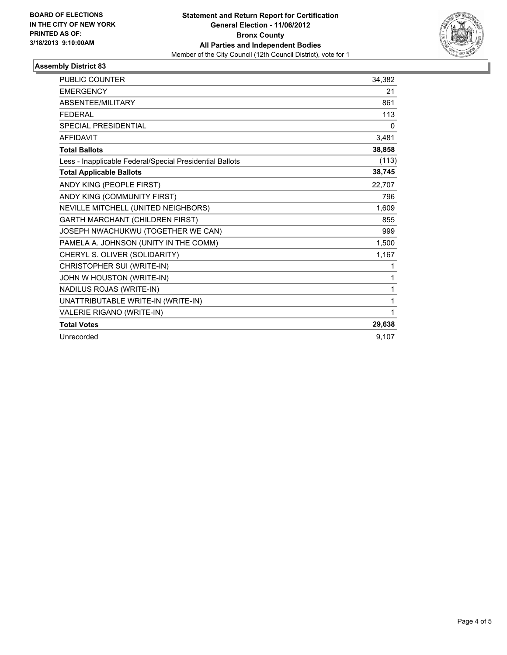

#### **Assembly District 83**

| <b>PUBLIC COUNTER</b>                                    | 34.382 |
|----------------------------------------------------------|--------|
| <b>EMERGENCY</b>                                         | 21     |
| <b>ABSENTEE/MILITARY</b>                                 | 861    |
| <b>FEDERAL</b>                                           | 113    |
| <b>SPECIAL PRESIDENTIAL</b>                              | 0      |
| <b>AFFIDAVIT</b>                                         | 3,481  |
| <b>Total Ballots</b>                                     | 38,858 |
| Less - Inapplicable Federal/Special Presidential Ballots | (113)  |
| <b>Total Applicable Ballots</b>                          | 38,745 |
| ANDY KING (PEOPLE FIRST)                                 | 22,707 |
| ANDY KING (COMMUNITY FIRST)                              | 796    |
| NEVILLE MITCHELL (UNITED NEIGHBORS)                      | 1,609  |
| GARTH MARCHANT (CHILDREN FIRST)                          | 855    |
| JOSEPH NWACHUKWU (TOGETHER WE CAN)                       | 999    |
| PAMELA A. JOHNSON (UNITY IN THE COMM)                    | 1,500  |
| CHERYL S. OLIVER (SOLIDARITY)                            | 1,167  |
| CHRISTOPHER SUI (WRITE-IN)                               | 1      |
| JOHN W HOUSTON (WRITE-IN)                                | 1      |
| NADILUS ROJAS (WRITE-IN)                                 | 1      |
| UNATTRIBUTABLE WRITE-IN (WRITE-IN)                       | 1      |
| VALERIE RIGANO (WRITE-IN)                                | 1      |
| <b>Total Votes</b>                                       | 29,638 |
| Unrecorded                                               | 9,107  |